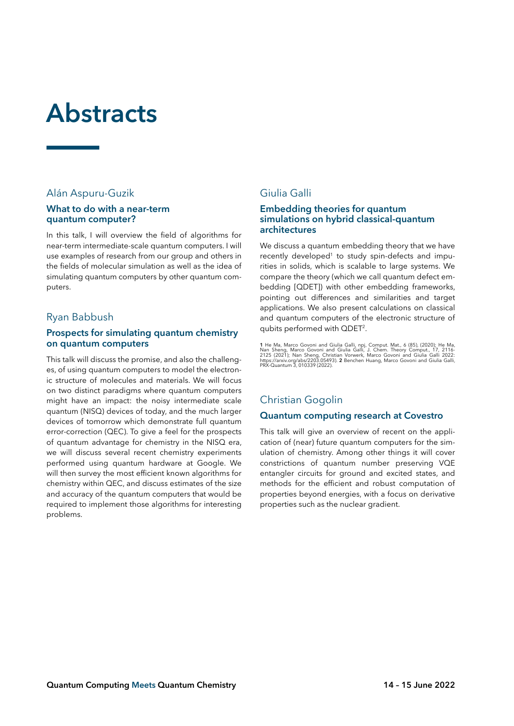# **Abstracts**

# Alán Aspuru-Guzik

#### **What to do with a near-term quantum computer?**

In this talk, I will overview the field of algorithms for near-term intermediate-scale quantum computers. I will use examples of research from our group and others in the fields of molecular simulation as well as the idea of simulating quantum computers by other quantum computers.

# Ryan Babbush

#### **Prospects for simulating quantum chemistry on quantum computers**

This talk will discuss the promise, and also the challenges, of using quantum computers to model the electronic structure of molecules and materials. We will focus on two distinct paradigms where quantum computers might have an impact: the noisy intermediate scale quantum (NISQ) devices of today, and the much larger devices of tomorrow which demonstrate full quantum error-correction (QEC). To give a feel for the prospects of quantum advantage for chemistry in the NISQ era, we will discuss several recent chemistry experiments performed using quantum hardware at Google. We will then survey the most efficient known algorithms for chemistry within QEC, and discuss estimates of the size and accuracy of the quantum computers that would be required to implement those algorithms for interesting problems.

# Giulia Galli

#### **Embedding theories for quantum simulations on hybrid classical-quantum architectures**

We discuss a quantum embedding theory that we have recently developed<sup>1</sup> to study spin-defects and impurities in solids, which is scalable to large systems. We compare the theory (which we call quantum defect embedding [QDET]) with other embedding frameworks, pointing out differences and similarities and target applications. We also present calculations on classical and quantum computers of the electronic structure of qubits performed with QDET<sup>2</sup>.

1 He Ma, Marco Govoni and Giulia Galli, npj, Comput. Mat., 6 (85), (2020); He Ma,<br>Nan Sheng, Marco Govoni and Giulia Galli, J. Chem. Theory Comput., 17, 2116<br>2125 (2021); Nan Sheng, Christian Vorwerk, Marco Govoni and Giul

# Christian Gogolin

## **Quantum computing research at Covestro**

This talk will give an overview of recent on the application of (near) future quantum computers for the simulation of chemistry. Among other things it will cover constrictions of quantum number preserving VQE entangler circuits for ground and excited states, and methods for the efficient and robust computation of properties beyond energies, with a focus on derivative properties such as the nuclear gradient.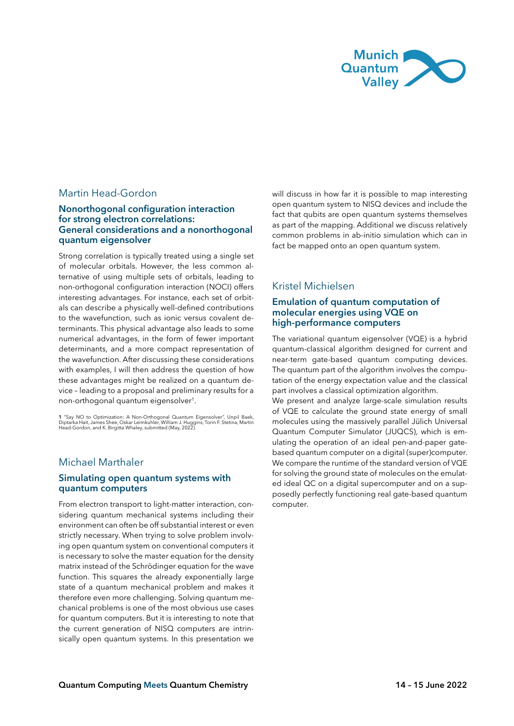

# Martin Head-Gordon

#### **Nonorthogonal configuration interaction for strong electron correlations: General considerations and a nonorthogonal quantum eigensolver**

Strong correlation is typically treated using a single set of molecular orbitals. However, the less common alternative of using multiple sets of orbitals, leading to non-orthogonal configuration interaction (NOCI) offers interesting advantages. For instance, each set of orbitals can describe a physically well-defined contributions to the wavefunction, such as ionic versus covalent determinants. This physical advantage also leads to some numerical advantages, in the form of fewer important determinants, and a more compact representation of the wavefunction. After discussing these considerations with examples, I will then address the question of how these advantages might be realized on a quantum device – leading to a proposal and preliminary results for a non-orthogonal quantum eigensolver<sup>1</sup>.

1 "Say NO to Optimization: A Non-Orthogonal Quantum Eigensolver", Unpil Baek,<br>Diptarka Hait, James Shee, Oskar Leimkuhler, William J. Huggins, Torin F. Stetina, Martin<br>Head-Gordon, and K. Birgitta Whaley, submitted (May, 2

#### Michael Marthaler

#### **Simulating open quantum systems with quantum computers**

From electron transport to light-matter interaction, considering quantum mechanical systems including their environment can often be off substantial interest or even strictly necessary. When trying to solve problem involving open quantum system on conventional computers it is necessary to solve the master equation for the density matrix instead of the Schrödinger equation for the wave function. This squares the already exponentially large state of a quantum mechanical problem and makes it therefore even more challenging. Solving quantum mechanical problems is one of the most obvious use cases for quantum computers. But it is interesting to note that the current generation of NISQ computers are intrinsically open quantum systems. In this presentation we

will discuss in how far it is possible to map interesting open quantum system to NISQ devices and include the fact that qubits are open quantum systems themselves as part of the mapping. Additional we discuss relatively common problems in ab-initio simulation which can in fact be mapped onto an open quantum system.

# Kristel Michielsen

#### **Emulation of quantum computation of molecular energies using VQE on high-performance computers**

The variational quantum eigensolver (VQE) is a hybrid quantum-classical algorithm designed for current and near-term gate-based quantum computing devices. The quantum part of the algorithm involves the computation of the energy expectation value and the classical part involves a classical optimization algorithm.

We present and analyze large-scale simulation results of VQE to calculate the ground state energy of small molecules using the massively parallel Jülich Universal Quantum Computer Simulator (JUQCS), which is emulating the operation of an ideal pen-and-paper gatebased quantum computer on a digital (super)computer. We compare the runtime of the standard version of VQE for solving the ground state of molecules on the emulated ideal QC on a digital supercomputer and on a supposedly perfectly functioning real gate-based quantum computer.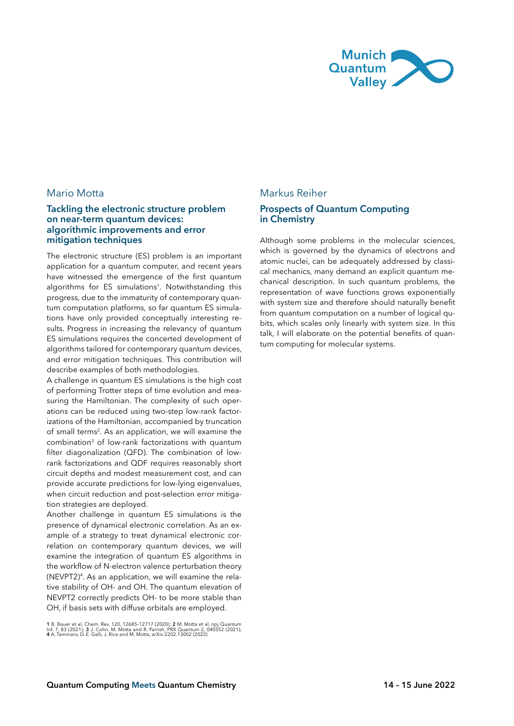

## Mario Motta

#### **Tackling the electronic structure problem on near-term quantum devices: algorithmic improvements and error mitigation techniques**

The electronic structure (ES) problem is an important application for a quantum computer, and recent years have witnessed the emergence of the first quantum algorithms for ES simulations<sup>1</sup>. Notwithstanding this progress, due to the immaturity of contemporary quantum computation platforms, so far quantum ES simulations have only provided conceptually interesting results. Progress in increasing the relevancy of quantum ES simulations requires the concerted development of algorithms tailored for contemporary quantum devices, and error mitigation techniques. This contribution will describe examples of both methodologies.

A challenge in quantum ES simulations is the high cost of performing Trotter steps of time evolution and measuring the Hamiltonian. The complexity of such operations can be reduced using two-step low-rank factorizations of the Hamiltonian, accompanied by truncation of small terms<sup>2</sup>. As an application, we will examine the combination3 of low-rank factorizations with quantum filter diagonalization (QFD). The combination of lowrank factorizations and QDF requires reasonably short circuit depths and modest measurement cost, and can provide accurate predictions for low-lying eigenvalues, when circuit reduction and post-selection error mitigation strategies are deployed.

Another challenge in quantum ES simulations is the presence of dynamical electronic correlation. As an example of a strategy to treat dynamical electronic correlation on contemporary quantum devices, we will examine the integration of quantum ES algorithms in the workflow of N-electron valence perturbation theory (NEVPT2)4. As an application, we will examine the relative stability of OH- and OH. The quantum elevation of NEVPT2 correctly predicts OH- to be more stable than OH, if basis sets with diffuse orbitals are employed.

# Markus Reiher

#### **Prospects of Quantum Computing in Chemistry**

Although some problems in the molecular sciences, which is governed by the dynamics of electrons and atomic nuclei, can be adequately addressed by classical mechanics, many demand an explicit quantum mechanical description. In such quantum problems, the representation of wave functions grows exponentially with system size and therefore should naturally benefit from quantum computation on a number of logical qubits, which scales only linearly with system size. In this talk, I will elaborate on the potential benefits of quantum computing for molecular systems.

<sup>1</sup> B. Bauer et al, Chem. Rev. 120, 12685-12717 (2020); **2** M. Motta et al, npj Quantum<br>Inf. 7, 83 (2021); 3 J. Cohn, M. Motta and R. Parrish, PRX Quantum 2, 040352 (2021);<br>**4** A. Tammaro, D. E. Galli, J. Rice and M. Motta,